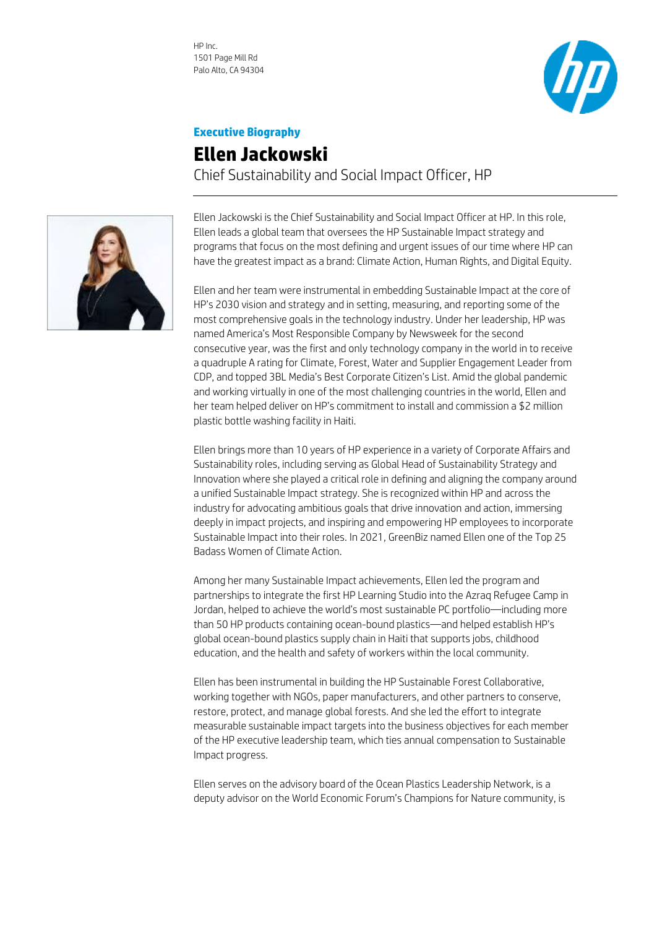HP Inc. 1501 Page Mill Rd Palo Alto, CA 94304



## **Executive Biography**

## **Ellen Jackowski** Chief Sustainability and Social Impact Officer, HP



Ellen Jackowski is the Chief Sustainability and Social Impact Officer at HP. In this role, Ellen leads a global team that oversees the HP Sustainable Impact strategy and programs that focus on the most defining and urgent issues of our time where HP can have the greatest impact as a brand: Climate Action, Human Rights, and Digital Equity.

Ellen and her team were instrumental in embedding Sustainable Impact at the core of HP's 2030 vision and strategy and in setting, measuring, and reporting some of the most comprehensive goals in the technology industry. Under her leadership, HP was named America's Most Responsible Company by Newsweek for the second consecutive year, was the first and only technology company in the world in to receive a quadruple A rating for Climate, Forest, Water and Supplier Engagement Leader from CDP, and topped 3BL Media's Best Corporate Citizen's List. Amid the global pandemic and working virtually in one of the most challenging countries in the world, Ellen and her team helped deliver on HP's commitment to install and commission a \$2 million plastic bottle washing facility in Haiti.

Ellen brings more than 10 years of HP experience in a variety of Corporate Affairs and Sustainability roles, including serving as Global Head of Sustainability Strategy and Innovation where she played a critical role in defining and aligning the company around a unified Sustainable Impact strategy. She is recognized within HP and across the industry for advocating ambitious goals that drive innovation and action, immersing deeply in impact projects, and inspiring and empowering HP employees to incorporate Sustainable Impact into their roles. In 2021, GreenBiz named Ellen one of the Top 25 Badass Women of Climate Action.

Among her many Sustainable Impact achievements, Ellen led the program and partnerships to integrate the first HP Learning Studio into the Azraq Refugee Camp in Jordan, helped to achieve the world's most sustainable PC portfolio—including more than 50 HP products containing ocean-bound plastics—and helped establish HP's global ocean-bound plastics supply chain in Haiti that supports jobs, childhood education, and the health and safety of workers within the local community.

Ellen has been instrumental in building the HP Sustainable Forest Collaborative, working together with NGOs, paper manufacturers, and other partners to conserve, restore, protect, and manage global forests. And she led the effort to integrate measurable sustainable impact targets into the business objectives for each member of the HP executive leadership team, which ties annual compensation to Sustainable Impact progress.

Ellen serves on the advisory board of the Ocean Plastics Leadership Network, is a deputy advisor on the World Economic Forum's Champions for Nature community, is